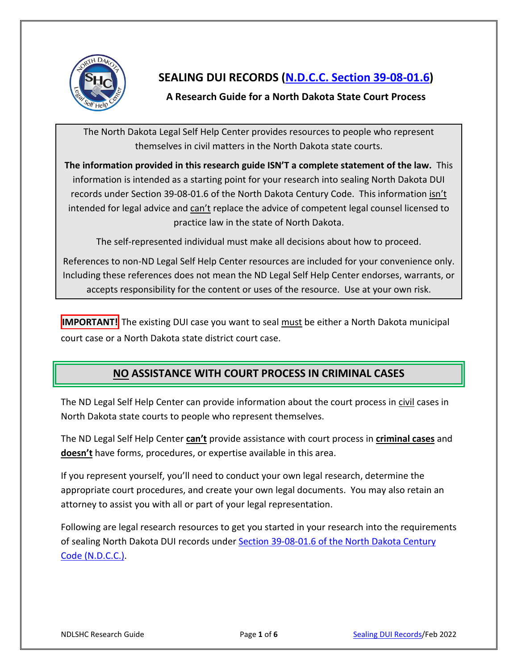

# **SEALING DUI RECORDS [\(N.D.C.C. Section 39-08-01.6\)](https://www.legis.nd.gov/cencode/t39c08.pdf#nameddest=39-08-01p6)**

## **A Research Guide for a North Dakota State Court Process**

The North Dakota Legal Self Help Center provides resources to people who represent themselves in civil matters in the North Dakota state courts.

**The information provided in this research guide ISN'T a complete statement of the law.** This information is intended as a starting point for your research into sealing North Dakota DUI records under Section 39-08-01.6 of the North Dakota Century Code. This information isn't intended for legal advice and can't replace the advice of competent legal counsel licensed to practice law in the state of North Dakota.

The self-represented individual must make all decisions about how to proceed.

References to non-ND Legal Self Help Center resources are included for your convenience only. Including these references does not mean the ND Legal Self Help Center endorses, warrants, or accepts responsibility for the content or uses of the resource. Use at your own risk.

**IMPORTANT!** The existing DUI case you want to seal must be either a North Dakota municipal court case or a North Dakota state district court case.

# **NO ASSISTANCE WITH COURT PROCESS IN CRIMINAL CASES**

The ND Legal Self Help Center can provide information about the court process in civil cases in North Dakota state courts to people who represent themselves.

The ND Legal Self Help Center **can't** provide assistance with court process in **criminal cases** and **doesn't** have forms, procedures, or expertise available in this area.

If you represent yourself, you'll need to conduct your own legal research, determine the appropriate court procedures, and create your own legal documents. You may also retain an attorney to assist you with all or part of your legal representation.

Following are legal research resources to get you started in your research into the requirements of sealing North Dakota DUI records under Section 39-08-01.6 of the North Dakota Century [Code \(N.D.C.C.\).](https://www.legis.nd.gov/cencode/t39c08.pdf#nameddest=39-08-01p6)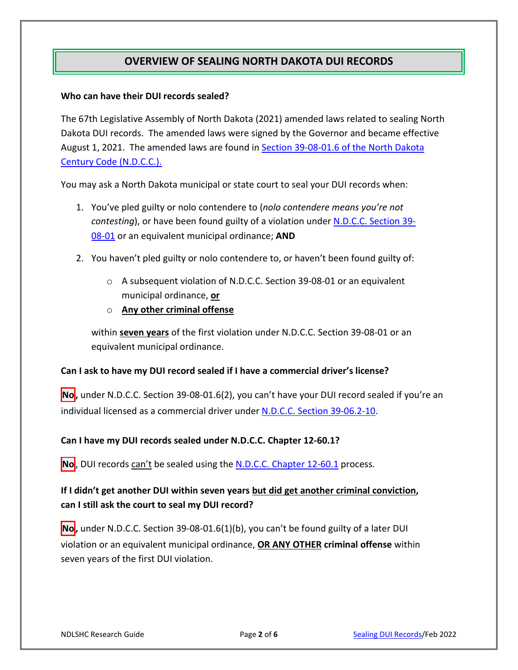## **OVERVIEW OF SEALING NORTH DAKOTA DUI RECORDS**

### **Who can have their DUI records sealed?**

The 67th Legislative Assembly of North Dakota (2021) amended laws related to sealing North Dakota DUI records. The amended laws were signed by the Governor and became effective August 1, 2021. The amended laws are found in **Section 39-08-01.6 of the North Dakota** [Century Code \(N.D.C.C.\).](https://www.legis.nd.gov/cencode/t39c08.pdf#nameddest=39-08-01p6)

You may ask a North Dakota municipal or state court to seal your DUI records when:

- 1. You've pled guilty or nolo contendere to (*nolo contendere means you're not contesting*), or have been found guilty of a violation under [N.D.C.C. Section 39-](https://www.legis.nd.gov/cencode/t39c08.pdf#nameddest=39-08-01) [08-01](https://www.legis.nd.gov/cencode/t39c08.pdf#nameddest=39-08-01) or an equivalent municipal ordinance; **AND**
- 2. You haven't pled guilty or nolo contendere to, or haven't been found guilty of:
	- o A subsequent violation of N.D.C.C. Section 39-08-01 or an equivalent municipal ordinance, **or**
	- o **Any other criminal offense**

within **seven years** of the first violation under N.D.C.C. Section 39-08-01 or an equivalent municipal ordinance.

#### **Can I ask to have my DUI record sealed if I have a commercial driver's license?**

No, under N.D.C.C. Section 39-08-01.6(2), you can't have your DUI record sealed if you're an individual licensed as a commercial driver under [N.D.C.C. Section](https://www.legis.nd.gov/cencode/t39c06-2.pdf#nameddest=39-06p2-10) 39-06.2-10.

### **Can I have my DUI records sealed under N.D.C.C. Chapter 12-60.1?**

**No**, DUI records can't be sealed using the [N.D.C.C. Chapter 12-60.1](http://www.legis.nd.gov/cencode/t12c60-1.pdf) process.

### **If I didn't get another DUI within seven years but did get another criminal conviction, can I still ask the court to seal my DUI record?**

**No,** under N.D.C.C. Section 39-08-01.6(1)(b), you can't be found guilty of a later DUI violation or an equivalent municipal ordinance, **OR ANY OTHER criminal offense** within seven years of the first DUI violation.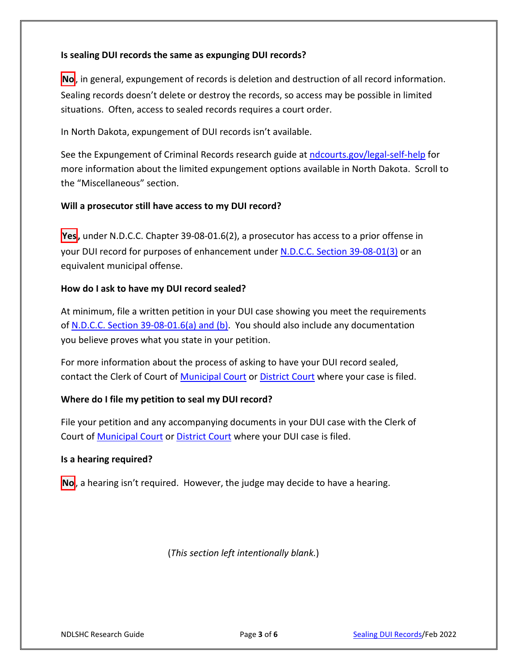### **Is sealing DUI records the same as expunging DUI records?**

**No**, in general, expungement of records is deletion and destruction of all record information. Sealing records doesn't delete or destroy the records, so access may be possible in limited situations. Often, access to sealed records requires a court order.

In North Dakota, expungement of DUI records isn't available.

See the Expungement of Criminal Records research guide at [ndcourts.gov/legal-self-help](https://www.ndcourts.gov/legal-self-help) for more information about the limited expungement options available in North Dakota. Scroll to the "Miscellaneous" section.

### **Will a prosecutor still have access to my DUI record?**

**Yes**, under N.D.C.C. Chapter 39-08-01.6(2), a prosecutor has access to a prior offense in your DUI record for purposes of enhancement unde[r N.D.C.C. Section 39-08-01\(3\)](https://www.legis.nd.gov/cencode/t39c08.pdf#nameddest=39-08-01) or an equivalent municipal offense.

### **How do I ask to have my DUI record sealed?**

At minimum, file a written petition in your DUI case showing you meet the requirements of [N.D.C.C. Section 39-08-01.6\(a\) and \(b\).](https://www.legis.nd.gov/cencode/t39c08.pdf#nameddest=39-08-01p6) You should also include any documentation you believe proves what you state in your petition.

For more information about the process of asking to have your DUI record sealed, contact the Clerk of Court of [Municipal Court](https://www.ndcourts.gov/other-courts/municipal-courts) or [District Court](https://www.ndcourts.gov/court-locations) where your case is filed.

### **Where do I file my petition to seal my DUI record?**

File your petition and any accompanying documents in your DUI case with the Clerk of Court o[f Municipal Court](https://www.ndcourts.gov/other-courts/municipal-courts) or [District Court](https://www.ndcourts.gov/court-locations) where your DUI case is filed.

#### **Is a hearing required?**

**No**, a hearing isn't required. However, the judge may decide to have a hearing.

(*This section left intentionally blank.*)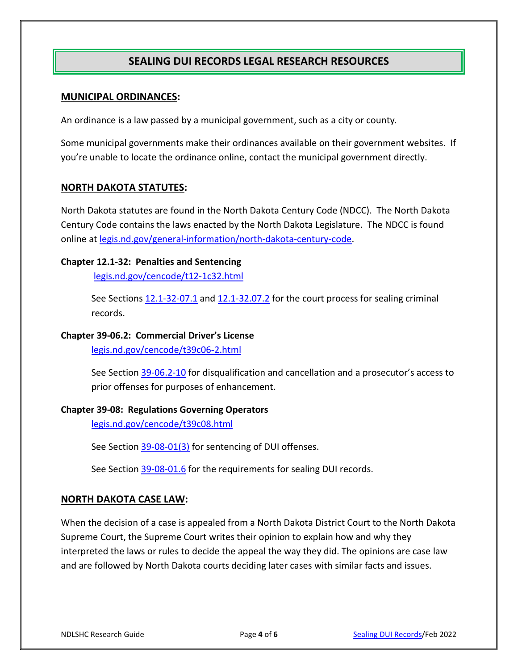## **SEALING DUI RECORDS LEGAL RESEARCH RESOURCES**

### **MUNICIPAL ORDINANCES:**

An ordinance is a law passed by a municipal government, such as a city or county*.*

Some municipal governments make their ordinances available on their government websites. If you're unable to locate the ordinance online, contact the municipal government directly.

### **NORTH DAKOTA STATUTES:**

North Dakota statutes are found in the North Dakota Century Code (NDCC). The North Dakota Century Code contains the laws enacted by the North Dakota Legislature. The NDCC is found online at [legis.nd.gov/general-information/north-dakota-century-code.](http://www.legis.nd.gov/general-information/north-dakota-century-code)

### **Chapter 12.1-32: Penalties and Sentencing**

[legis.nd.gov/cencode/t12-1c32.html](https://www.legis.nd.gov/cencode/t12-1c32.html)

See Sections [12.1-32-07.1](https://www.legis.nd.gov/cencode/t12-1c32.pdf#nameddest=12p1-32-07p1) and [12.1-32.07.2](https://www.legis.nd.gov/cencode/t12-1c32.pdf#nameddest=12p1-32-07p2) for the court process for sealing criminal records.

### **Chapter 39-06.2: Commercial Driver's License**

[legis.nd.gov/cencode/t39c06-2.html](https://www.legis.nd.gov/cencode/t39c06-2.html)

See Section [39-06.2-10](https://www.legis.nd.gov/cencode/t39c06-2.pdf#nameddest=39-06p2-10) for disqualification and cancellation and a prosecutor's access to prior offenses for purposes of enhancement.

### **Chapter 39-08: Regulations Governing Operators**

[legis.nd.gov/cencode/t39c08.html](https://www.legis.nd.gov/cencode/t39c08.html)

See Section [39-08-01\(3\)](https://www.legis.nd.gov/cencode/t39c08.pdf#nameddest=39-08-01) for sentencing of DUI offenses.

See Section [39-08-01.6](https://www.legis.nd.gov/cencode/t39c08.pdf#nameddest=39-08-01p6) for the requirements for sealing DUI records.

### **NORTH DAKOTA CASE LAW:**

When the decision of a case is appealed from a North Dakota District Court to the North Dakota Supreme Court, the Supreme Court writes their opinion to explain how and why they interpreted the laws or rules to decide the appeal the way they did. The opinions are case law and are followed by North Dakota courts deciding later cases with similar facts and issues.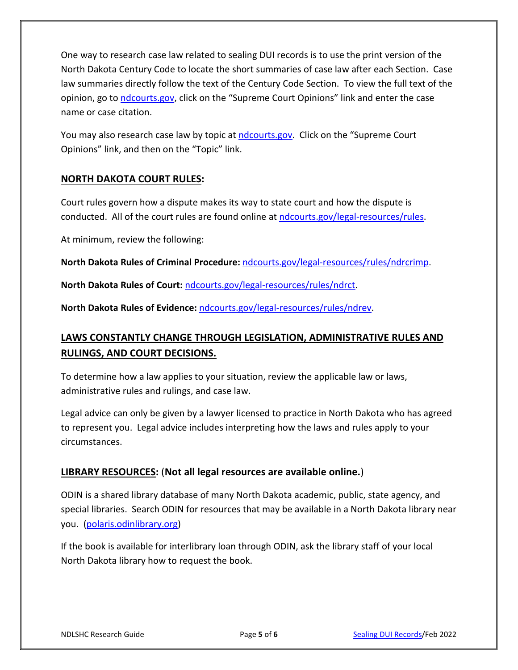One way to research case law related to sealing DUI records is to use the print version of the North Dakota Century Code to locate the short summaries of case law after each Section. Case law summaries directly follow the text of the Century Code Section. To view the full text of the opinion, go to [ndcourts.gov,](http://www.ndcourts.gov/) click on the "Supreme Court Opinions" link and enter the case name or case citation.

You may also research case law by topic at [ndcourts.gov.](http://www.ndcourts.gov/) Click on the "Supreme Court Opinions" link, and then on the "Topic" link.

### **NORTH DAKOTA COURT RULES:**

Court rules govern how a dispute makes its way to state court and how the dispute is conducted. All of the court rules are found online at [ndcourts.gov/legal-resources/rules.](https://www.ndcourts.gov/legal-resources/rules)

At minimum, review the following:

**North Dakota Rules of Criminal Procedure:** [ndcourts.gov/legal-resources/rules/ndrcrimp.](https://www.ndcourts.gov/legal-resources/rules/ndrcrimp)

**North Dakota Rules of Court:** [ndcourts.gov/legal-resources/rules/ndrct.](https://www.ndcourts.gov/legal-resources/rules/ndrct)

**North Dakota Rules of Evidence:** [ndcourts.gov/legal-resources/rules/ndrev.](https://www.ndcourts.gov/legal-resources/rules/ndrev)

# **LAWS CONSTANTLY CHANGE THROUGH LEGISLATION, ADMINISTRATIVE RULES AND RULINGS, AND COURT DECISIONS.**

To determine how a law applies to your situation, review the applicable law or laws, administrative rules and rulings, and case law.

Legal advice can only be given by a lawyer licensed to practice in North Dakota who has agreed to represent you. Legal advice includes interpreting how the laws and rules apply to your circumstances.

### **LIBRARY RESOURCES:** (**Not all legal resources are available online.**)

ODIN is a shared library database of many North Dakota academic, public, state agency, and special libraries. Search ODIN for resources that may be available in a North Dakota library near you. [\(polaris.odinlibrary.org\)](https://polaris.odinlibrary.org/polaris/default.aspx?ctx=36.1033.0.0.1)

If the book is available for interlibrary loan through ODIN, ask the library staff of your local North Dakota library how to request the book.